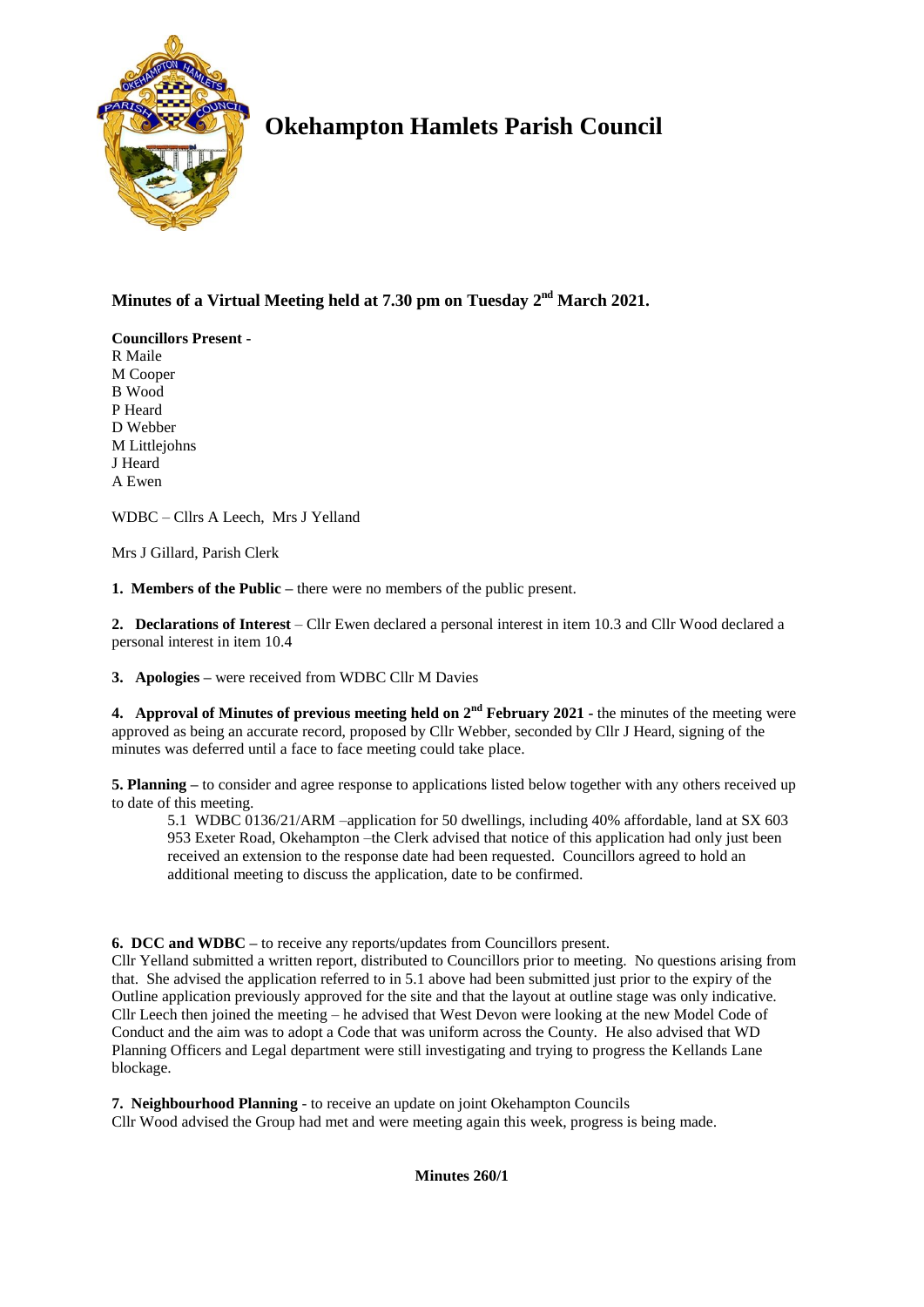

# **Okehampton Hamlets Parish Council**

# **Minutes of a Virtual Meeting held at 7.30 pm on Tuesday 2 nd March 2021.**

**Councillors Present -** R Maile M Cooper B Wood P Heard D Webber M Littlejohns J Heard A Ewen

WDBC – Cllrs A Leech, Mrs J Yelland

Mrs J Gillard, Parish Clerk

**1. Members of the Public –** there were no members of the public present.

**2. Declarations of Interest** – Cllr Ewen declared a personal interest in item 10.3 and Cllr Wood declared a personal interest in item 10.4

**3. Apologies –** were received from WDBC Cllr M Davies

**4.** Approval of Minutes of previous meeting held on  $2^{nd}$  February 2021 - the minutes of the meeting were approved as being an accurate record, proposed by Cllr Webber, seconded by Cllr J Heard, signing of the minutes was deferred until a face to face meeting could take place.

**5. Planning –** to consider and agree response to applications listed below together with any others received up to date of this meeting.

5.1 WDBC 0136/21/ARM –application for 50 dwellings, including 40% affordable, land at SX 603 953 Exeter Road, Okehampton –the Clerk advised that notice of this application had only just been received an extension to the response date had been requested. Councillors agreed to hold an additional meeting to discuss the application, date to be confirmed.

**6. DCC and WDBC –** to receive any reports/updates from Councillors present.

Cllr Yelland submitted a written report, distributed to Councillors prior to meeting. No questions arising from that. She advised the application referred to in 5.1 above had been submitted just prior to the expiry of the Outline application previously approved for the site and that the layout at outline stage was only indicative. Cllr Leech then joined the meeting – he advised that West Devon were looking at the new Model Code of Conduct and the aim was to adopt a Code that was uniform across the County. He also advised that WD Planning Officers and Legal department were still investigating and trying to progress the Kellands Lane blockage.

**7. Neighbourhood Planning** - to receive an update on joint Okehampton Councils Cllr Wood advised the Group had met and were meeting again this week, progress is being made.

**Minutes 260/1**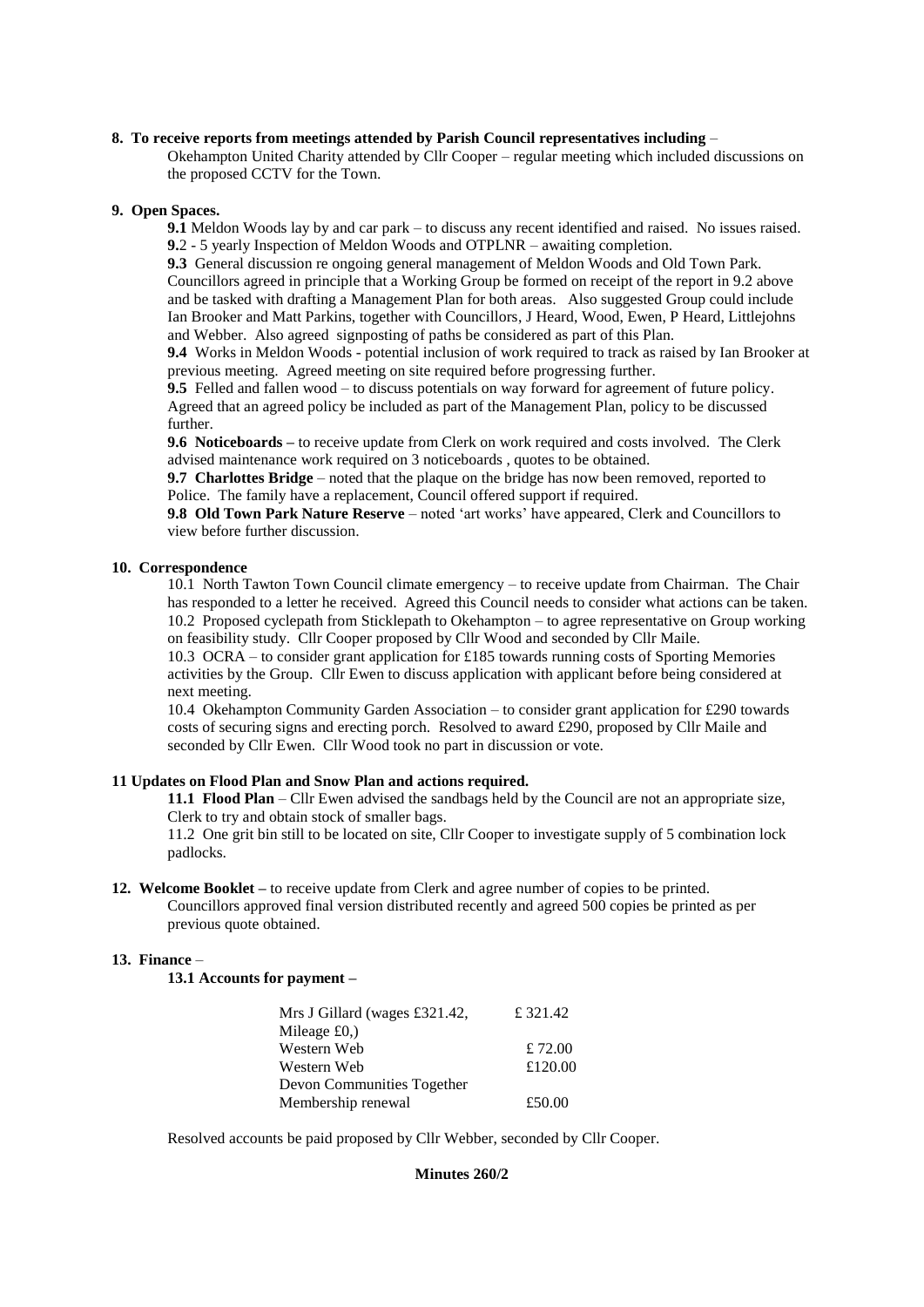#### **8. To receive reports from meetings attended by Parish Council representatives including** –

Okehampton United Charity attended by Cllr Cooper – regular meeting which included discussions on the proposed CCTV for the Town.

### **9. Open Spaces.**

**9.1** Meldon Woods lay by and car park – to discuss any recent identified and raised. No issues raised. **9.**2 - 5 yearly Inspection of Meldon Woods and OTPLNR – awaiting completion.

**9.3** General discussion re ongoing general management of Meldon Woods and Old Town Park. Councillors agreed in principle that a Working Group be formed on receipt of the report in 9.2 above and be tasked with drafting a Management Plan for both areas. Also suggested Group could include Ian Brooker and Matt Parkins, together with Councillors, J Heard, Wood, Ewen, P Heard, Littlejohns and Webber. Also agreed signposting of paths be considered as part of this Plan.

**9.4** Works in Meldon Woods - potential inclusion of work required to track as raised by Ian Brooker at previous meeting. Agreed meeting on site required before progressing further.

**9.5** Felled and fallen wood – to discuss potentials on way forward for agreement of future policy. Agreed that an agreed policy be included as part of the Management Plan, policy to be discussed further.

**9.6 Noticeboards –** to receive update from Clerk on work required and costs involved. The Clerk advised maintenance work required on 3 noticeboards , quotes to be obtained.

**9.7 Charlottes Bridge** – noted that the plaque on the bridge has now been removed, reported to Police. The family have a replacement, Council offered support if required.

**9.8 Old Town Park Nature Reserve** – noted 'art works' have appeared, Clerk and Councillors to view before further discussion.

# **10. Correspondence**

10.1 North Tawton Town Council climate emergency – to receive update from Chairman. The Chair has responded to a letter he received. Agreed this Council needs to consider what actions can be taken. 10.2 Proposed cyclepath from Sticklepath to Okehampton – to agree representative on Group working on feasibility study. Cllr Cooper proposed by Cllr Wood and seconded by Cllr Maile.

10.3 OCRA – to consider grant application for £185 towards running costs of Sporting Memories activities by the Group. Cllr Ewen to discuss application with applicant before being considered at next meeting.

10.4 Okehampton Community Garden Association – to consider grant application for £290 towards costs of securing signs and erecting porch. Resolved to award £290, proposed by Cllr Maile and seconded by Cllr Ewen. Cllr Wood took no part in discussion or vote.

# **11 Updates on Flood Plan and Snow Plan and actions required.**

**11.1 Flood Plan** – Cllr Ewen advised the sandbags held by the Council are not an appropriate size, Clerk to try and obtain stock of smaller bags.

11.2 One grit bin still to be located on site, Cllr Cooper to investigate supply of 5 combination lock padlocks.

**12. Welcome Booklet –** to receive update from Clerk and agree number of copies to be printed. Councillors approved final version distributed recently and agreed 500 copies be printed as per previous quote obtained.

# **13. Finance** –

**13.1 Accounts for payment –**

| Mrs J Gillard (wages £321.42, | £ 321.42 |
|-------------------------------|----------|
| Mileage $£0,$ )               |          |
| Western Web                   | £ 72.00  |
| Western Web                   | £120.00  |
| Devon Communities Together    |          |
| Membership renewal            | £50.00   |

Resolved accounts be paid proposed by Cllr Webber, seconded by Cllr Cooper.

#### **Minutes 260/2**